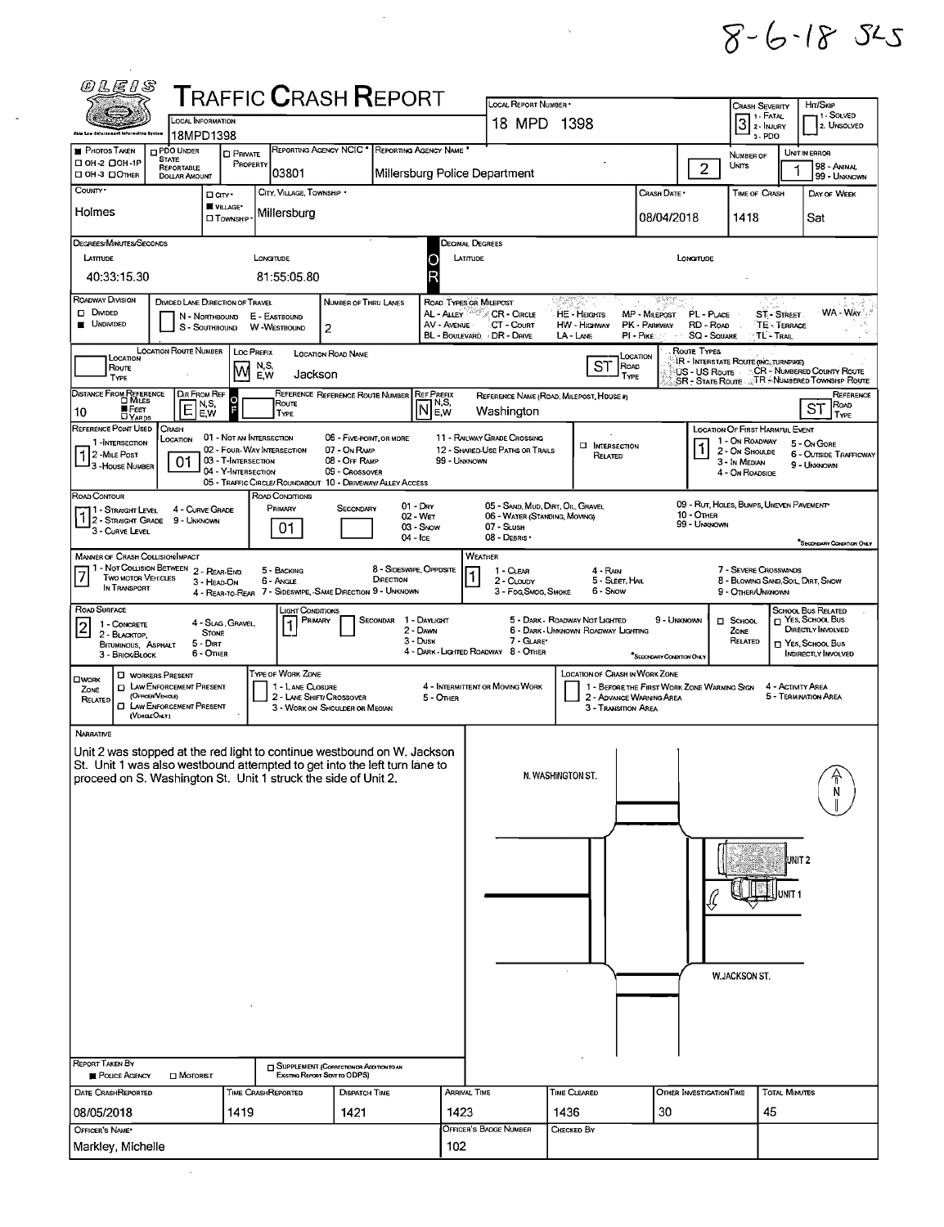$8 - 6 - 185$ 

|                                                                                                                                                          | <b>TRAFFIC CRASH REPORT</b><br>LOCAL INFORMATION       |                                                                                  |                                                                                              | LOCAL REPORT NUMBER .<br>18 MPD 1398                                                |                                             | <b>CRASH SEVERITY</b><br>1 - Fatal<br>$32$ PATAL                                          |
|----------------------------------------------------------------------------------------------------------------------------------------------------------|--------------------------------------------------------|----------------------------------------------------------------------------------|----------------------------------------------------------------------------------------------|-------------------------------------------------------------------------------------|---------------------------------------------|-------------------------------------------------------------------------------------------|
| 18MPD1398<br><b>PHOTOS TAKEN</b><br><b>DPDO UNDER</b>                                                                                                    |                                                        | REPORTING AGENCY NCIC <sup>*</sup><br>REPORTING AGENCY NAME                      |                                                                                              |                                                                                     |                                             | 3-PDO<br>UNIT IN ERROR                                                                    |
| <b>STATE</b><br>OH-2 00H-1P<br><b>REPORTABLE</b><br>□ OH-3 □ OTHER<br><b>DOLLAR AMOUNT</b>                                                               | <b>D</b> PRIVATE<br>PROPERTY<br> 03801                 |                                                                                  | Millersburg Police Department                                                                |                                                                                     |                                             | NUMBER OF<br>$\overline{2}$<br>UNITS                                                      |
| County -                                                                                                                                                 | CITY, VILLAGE, TOWNSHIP .<br>□ an ·                    |                                                                                  |                                                                                              |                                                                                     | CRASH DATE *                                | <b>TIME OF CRASH</b>                                                                      |
| Holmes                                                                                                                                                   | <b>WILLAGE</b><br>Millersburg<br>□ TOWNSHIP            |                                                                                  |                                                                                              |                                                                                     | 08/04/2018                                  | 1418                                                                                      |
| DEGREES/MINUTES/SECONDS                                                                                                                                  |                                                        |                                                                                  | <b>DECIMAL DEGREES</b>                                                                       |                                                                                     |                                             |                                                                                           |
| LATITUDE                                                                                                                                                 | LONGITUDE                                              |                                                                                  | LATITUDE<br>O                                                                                |                                                                                     | LONGTUDE                                    |                                                                                           |
| 40:33:15.30                                                                                                                                              | 81:55:05.80                                            |                                                                                  | R                                                                                            |                                                                                     |                                             |                                                                                           |
| ROADWAY DIVISION<br>D DIVIDED<br>N - Northbound                                                                                                          | DIVIDED LANE DIRECTION OF TRAVEL<br>E - EASTBOUND      | NUMBER OF THRU LANES                                                             | ROAD TYPES OR MILEPOST<br>AL - ALLEY<br>CR - Circle                                          | 문화법<br><b>HE-HEIGHTS</b>                                                            | 98.XX<br><b>MP - MILEPOST</b>               | PL - PLACE<br><b>ST-STREET</b>                                                            |
| <b>UNDIVIDED</b>                                                                                                                                         | S - SOUTHBOUND W - WESTBOUND                           | 2                                                                                | AV - AVENUE<br>CT - Court<br>BL - BOULEVARD - DR - DRIVE                                     | HW - HIGHWAY<br>LA - LANE                                                           | PK - PARKWAY<br>PI - PIKE:<br>$\sim$ $\sim$ | RD - Road<br><b>TE - TERRACE</b><br><b>SQ - SQUARE</b><br>'TL'- Trail                     |
| LOCATION ROUTE NUMBER<br>LOCATION                                                                                                                        | <b>LOC PREFIX</b>                                      | LOCATION ROAD NAME                                                               |                                                                                              |                                                                                     | LOCATION                                    | ROUTE TYPES<br>IR - Interstate Route (INC. TURNPIKE)                                      |
| Route<br><b>TYPE</b>                                                                                                                                     | N,S,<br>M<br>E.W                                       | Jackson                                                                          |                                                                                              | <b>ST</b>                                                                           | ROAD<br><b>TYPE</b>                         | US - US ROUTE CR - NUMBERED COUNTY ROUTE<br>SR - STATE ROUTE AT RANDIMERED TOWNSHIP ROUTE |
| <b>DISTANCE FROM REFERENCE</b><br>DIR FROM REF<br>N,S,<br>E                                                                                              | $\frac{0}{F}$<br>Route                                 | REFERENCE REFERENCE ROUTE NUMBER                                                 | <b>REF PREFIX</b><br>$\overline{\mathsf{N}}_{\mathsf{F}}^{\mathsf{N},\mathsf{S},\mathsf{F}}$ | REFERENCE NAME (ROAD, MILEPOST, HOUSE #)                                            |                                             |                                                                                           |
| FEET<br>DYARDS<br>10<br>E.W<br>REFERENCE POINT USED<br>CRASH                                                                                             | <b>TYPE</b>                                            |                                                                                  | Washington                                                                                   |                                                                                     |                                             | LOCATION OF FIRST HARMFUL EVENT                                                           |
| LOCATION<br>1 INTERSECTION<br>1 2 - MILE POST                                                                                                            | 01 - NOT AN INTERSECTION<br>02 - FOUR-WAY INTERSECTION | 06 - FIVE-POINT, OR MORE<br>07 - On RAMP                                         | 11 - RAILWAY GRADE CROSSING<br>12 - SHARED-USE PATHS OR TRAILS                               | <b>INTERSECTION</b><br>RELATED                                                      |                                             | 1 - On ROADWAY<br>5 - On Gore<br>2 - ON SHOULDE<br><b>6 - OUTSIDE TRAFFICWAY</b>          |
| 01<br>┛З - House Nuмаев                                                                                                                                  | 03 - T-INTERSECTION<br>04 - Y-INTERSECTION             | 08 - OFF RAMP<br>09 - Crossover                                                  | 99 - UNKNOWN                                                                                 |                                                                                     |                                             | 3 - In Median<br>9 - UNKNOWN<br>4 - On ROADSIDE                                           |
| ROAD CONTOUR                                                                                                                                             | ROAD CONDITIONS                                        | 05 - TRAFFIC CIRCLE/ ROUNDABOUT 10 - DRIVEWAY/ ALLEY ACCESS                      |                                                                                              |                                                                                     |                                             |                                                                                           |
| 4 - CURVE GRADE<br>11 - Straight Level<br>1 2 - STRAIGHT GRADE 9 - UNKNOWN                                                                               | PRIMARY                                                | $01 - \text{Dar}$<br>SECONDARY<br>02 - Wer                                       |                                                                                              | 05 - SAND, MUD, DIRT, OIL, GRAVEL<br>06 - WATER (STANDING, MOVING)                  |                                             | 09 - RUT, HOLES, BUMPS, UNEVEN PAVEMENT*<br>10 - Отнев<br>99 - Uniknown                   |
| 3 - CURVE LEVEL                                                                                                                                          | 01                                                     | 03 - Snow<br>04 - Ice                                                            | 07 - SLUSH<br>08 - DEBRIS ·                                                                  |                                                                                     |                                             | "SECONDARY CONDITION ONLY                                                                 |
| <b>MANNER OF CRASH COLLISION/IMPACT</b><br>1 - Not Collision Between 2 - Rear-End                                                                        | 5 - BACKING                                            | 8 - SIDESWIPE OPPDSITE                                                           | WEATHER<br>1 - CLEAR                                                                         | $4 - RAN$                                                                           |                                             | 7 - SEVERE CROSSWINDS                                                                     |
| <b>TWO MOTOR VEHICLES</b><br>IN TRANSPORT                                                                                                                | 6 - Angle<br>3 - HEAD-ON                               | DIRECTION<br>4 - REAR-TO-REAR 7 - SIDESWIPE SAME DIRECTION 9 - UNKNOWN           | 2 - CLOUDY                                                                                   | 5 - SLEET, HAL<br>3 - Fog Smog, Smoke<br>6 - Snow                                   |                                             | 8 - BLOWING SAND, SOIL, DIRT, SNOW<br>9 - OTHER/UNKNOWN                                   |
| <b>ROAD SURFACE</b>                                                                                                                                      |                                                        | Light Conditions                                                                 |                                                                                              |                                                                                     |                                             | SCHOOL BUS RELATED                                                                        |
| 1 - CONCRETE<br> 2 <br>2 - BLACKTOP                                                                                                                      | 4 - SLAG, GRAVEL,<br><b>STONE</b>                      | SECONDAR 1 - DAYLIGHT<br>PRIMARY<br>2 - DAWN<br>3 - Dusk                         |                                                                                              | 5 - DARK - ROADWAY NOT LIGHTED<br>6 - DARK - UNKNOWN ROADWAY LIGHTING<br>7 - GLARE* | 9 - UNKNOWN                                 | T YES, SCHOOL BUS<br>$\Box$ SCHOOL<br>DIRECTLY INVOLVED<br>ZONE<br>RELATED                |
| $5 - D$ <sub>RT</sub><br>BITUMINOUS, ASPHALT<br>6 - OTHER<br>3 - BRICK/BLOCK                                                                             |                                                        |                                                                                  | 4 - DARK - LIGHTED ROADWAY 8 - OTHER                                                         |                                                                                     | SECONDARY CONDITION ONLY                    | T YES. SCHOOL Bus<br>INDIRECTLY INVOLVED                                                  |
| <b>U</b> WORKERS PRESENT<br>$\square$ WORK<br><b>D</b> LAW ENFORCEMENT PRESENT<br>ZONE                                                                   | TYPE OF WORK ZONE                                      | 1 - LANE CLOSURE                                                                 | 4 - INTERMITTENT OR MOVING WORK                                                              | LOCATION OF CRASH IN WORK ZONE                                                      | 1 - BEFORE THE FIRST WORK ZONE WARNING SIGN | 4 - Activity Area                                                                         |
| (OFFICER/VENICLE)<br>RELATED<br><b>O LAW ENFORCEMENT PRESENT</b>                                                                                         |                                                        | 2 - LANE SHIFT/ CROSSOVER<br>3 - WORK ON SHOULDER OR MEDIAN                      | 5 - OTHER                                                                                    | 3 - Transition Area                                                                 | 2 - ADVANCE WARNING AREA                    | 5 - TERMINATION AREA                                                                      |
|                                                                                                                                                          |                                                        |                                                                                  |                                                                                              |                                                                                     |                                             |                                                                                           |
| (VEHOLEONLY)                                                                                                                                             |                                                        |                                                                                  |                                                                                              |                                                                                     |                                             |                                                                                           |
|                                                                                                                                                          |                                                        |                                                                                  |                                                                                              |                                                                                     |                                             |                                                                                           |
|                                                                                                                                                          |                                                        |                                                                                  |                                                                                              | N. WASHINGTON ST.                                                                   |                                             |                                                                                           |
| Unit 2 was stopped at the red light to continue westbound on W. Jackson.                                                                                 |                                                        |                                                                                  |                                                                                              |                                                                                     |                                             |                                                                                           |
|                                                                                                                                                          |                                                        |                                                                                  |                                                                                              |                                                                                     |                                             |                                                                                           |
|                                                                                                                                                          |                                                        |                                                                                  |                                                                                              |                                                                                     |                                             |                                                                                           |
|                                                                                                                                                          |                                                        |                                                                                  |                                                                                              |                                                                                     |                                             | UNIT <sub>2</sub>                                                                         |
|                                                                                                                                                          |                                                        |                                                                                  |                                                                                              |                                                                                     |                                             |                                                                                           |
|                                                                                                                                                          |                                                        |                                                                                  |                                                                                              |                                                                                     |                                             |                                                                                           |
|                                                                                                                                                          |                                                        |                                                                                  |                                                                                              |                                                                                     |                                             |                                                                                           |
|                                                                                                                                                          |                                                        |                                                                                  |                                                                                              |                                                                                     |                                             |                                                                                           |
| NARRATIVE<br>St. Unit 1 was also westbound attempted to get into the left turn lane to<br>proceed on S. Washington St. Unit 1 struck the side of Unit 2. |                                                        |                                                                                  |                                                                                              |                                                                                     |                                             | <b>W.JACKSON ST.</b>                                                                      |
|                                                                                                                                                          |                                                        |                                                                                  |                                                                                              |                                                                                     |                                             |                                                                                           |
|                                                                                                                                                          |                                                        |                                                                                  |                                                                                              |                                                                                     |                                             |                                                                                           |
|                                                                                                                                                          |                                                        |                                                                                  |                                                                                              |                                                                                     |                                             |                                                                                           |
| POLICE AGENCY<br><b>I</b> MOTORIST                                                                                                                       |                                                        | <b>SUPPLEMENT (CORRECTION OR ADDITION TO AN</b><br>Existing Report Sent to ODPS) |                                                                                              |                                                                                     |                                             |                                                                                           |
|                                                                                                                                                          | <b>TIME CRASHREPORTED</b>                              | DISPATCH TIME                                                                    | ARRIVAL TIME                                                                                 | <b>TIME CLEARED</b>                                                                 |                                             | <b>TOTAL MINUTES</b><br>OTHER INVESTIGATION TIME                                          |
| <b>REPORT TAKEN BY</b><br>DATE CRASHREPORTED<br>08/05/2018<br>OFFICER'S NAME*                                                                            | 1419                                                   | 1421                                                                             | 1423<br>OFFICER'S BADGE NUMBER                                                               | 1436<br>CHECKED BY                                                                  | 30                                          | 45                                                                                        |

 $\mathcal{A}^{\mathcal{A}}_{\mathcal{A}}$ 

 $\label{eq:1} \frac{1}{\sqrt{2}}\left(\frac{1}{2}\right)^{2} \left(\frac{1}{2}\right)^{2}$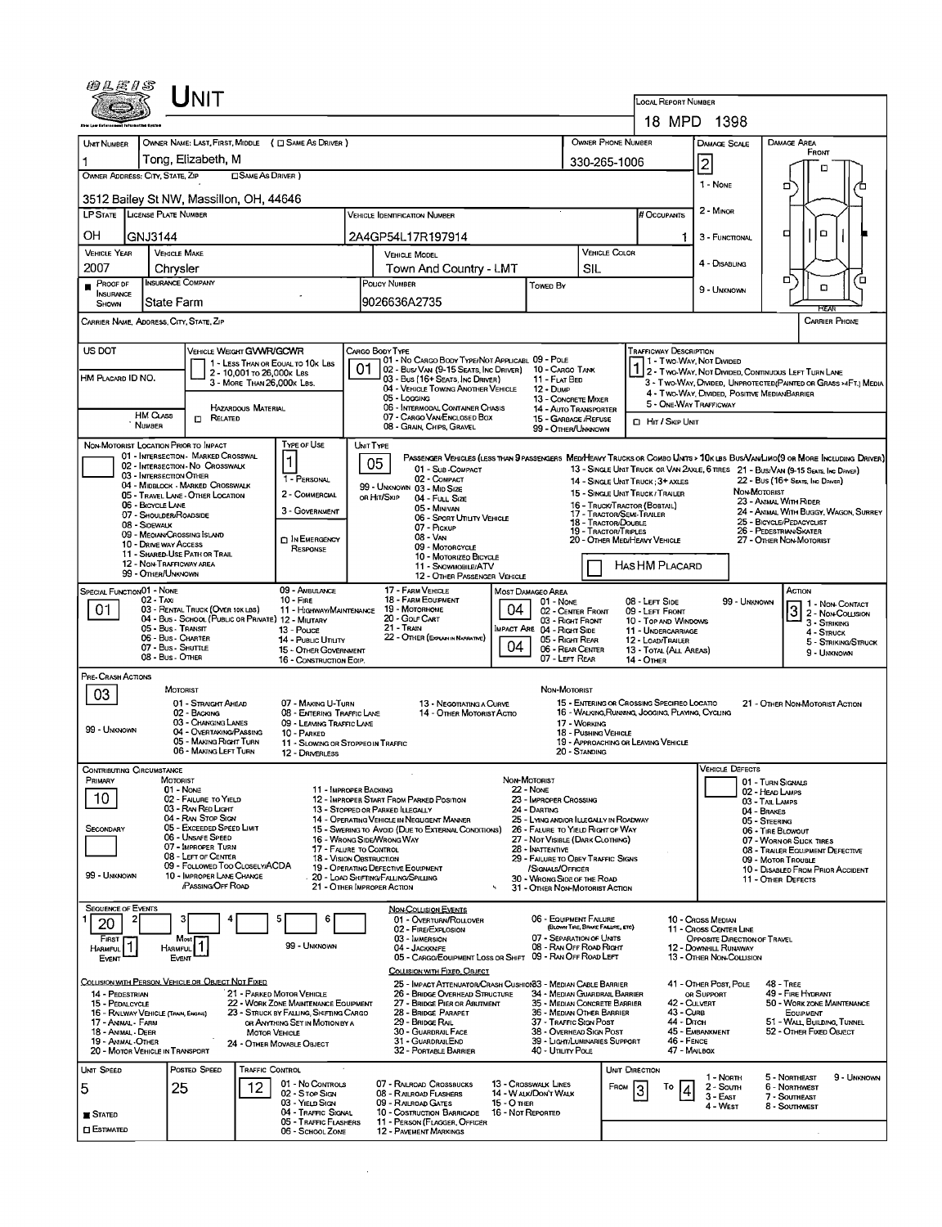| Unit                                                                                                                                                                                                                   |                                                                                                                                                                |                                                                                                                                                            |  |  |  |  |  |  |  |  |  |  |
|------------------------------------------------------------------------------------------------------------------------------------------------------------------------------------------------------------------------|----------------------------------------------------------------------------------------------------------------------------------------------------------------|------------------------------------------------------------------------------------------------------------------------------------------------------------|--|--|--|--|--|--|--|--|--|--|
|                                                                                                                                                                                                                        |                                                                                                                                                                | LOCAL REPORT NUMBER<br>18 MPD 1398                                                                                                                         |  |  |  |  |  |  |  |  |  |  |
| OWNER NAME: LAST, FIRST, MIDDLE ( C SAME AS DRIVER )                                                                                                                                                                   |                                                                                                                                                                | OWNER PHONE NUMBER<br>DAMAGE AREA                                                                                                                          |  |  |  |  |  |  |  |  |  |  |
| <b>UNT NUMBER</b><br>Tong, Elizabeth, M                                                                                                                                                                                |                                                                                                                                                                | DAMAGE SCALE<br>FRONT                                                                                                                                      |  |  |  |  |  |  |  |  |  |  |
| OWNER ADDRESS: CITY, STATE, ZIP<br>□ SAME AS DRIVER)                                                                                                                                                                   |                                                                                                                                                                | 2<br>330-265-1006<br>п                                                                                                                                     |  |  |  |  |  |  |  |  |  |  |
| 3512 Bailey St NW, Massillon, OH, 44646                                                                                                                                                                                | 1 - None<br>o                                                                                                                                                  |                                                                                                                                                            |  |  |  |  |  |  |  |  |  |  |
| LP STATE LICENSE PLATE NUMBER                                                                                                                                                                                          | <b>VEHICLE IDENTIFICATION NUMBER</b>                                                                                                                           | 2 - Minon<br># Occupants                                                                                                                                   |  |  |  |  |  |  |  |  |  |  |
| OН<br>GNJ3144                                                                                                                                                                                                          | 2A4GP54L17R197914                                                                                                                                              | $\Box$<br>□<br>3 - FUNCTIONAL<br>11                                                                                                                        |  |  |  |  |  |  |  |  |  |  |
| <b>VEHICLE YEAR</b><br><b>VEHICLE MAKE</b><br>2007                                                                                                                                                                     | <b>VEHICLE MODEL</b>                                                                                                                                           | VEHICLE COLOR<br>4 - DISABLING                                                                                                                             |  |  |  |  |  |  |  |  |  |  |
| Chrysler<br>INSURANCE COMPANY<br>PROOF OF                                                                                                                                                                              | Town And Country - LMT<br>POLICY NUMBER<br>Towen By                                                                                                            | SIL<br>α<br>о<br>ם<br>9 - UNKNOWN                                                                                                                          |  |  |  |  |  |  |  |  |  |  |
| <b>INSURANCE</b><br>State Farm<br>SHOWN                                                                                                                                                                                | l9026636A2735                                                                                                                                                  | RFA                                                                                                                                                        |  |  |  |  |  |  |  |  |  |  |
| CARRIER NAME, ADDRESS, CITY, STATE, ZIP<br><b>CARRIER PHONE</b>                                                                                                                                                        |                                                                                                                                                                |                                                                                                                                                            |  |  |  |  |  |  |  |  |  |  |
| US DOT<br>VEHICLE WEIGHT GVWR/GCWR<br>CARGO BODY TYPE<br><b>TRAFFICWAY DESCRIPTION</b>                                                                                                                                 |                                                                                                                                                                |                                                                                                                                                            |  |  |  |  |  |  |  |  |  |  |
| 1 - LESS THAN OR EQUAL TO 10K LBS<br>2 - 10,001 To 26,000k Las<br>HM PLACARD ID NO.                                                                                                                                    | 01 - No CARGO BODY TYPE/NOT APPLICABL 09 - POLE<br>02 - Bus/ VAN (9-15 Seats, Inc Driver) 10 - Cargo Tank<br>03 - Bus (16+ Seats, Inc Driver)<br>11 - FLAT BED | 1 - Two Way Not Divided<br>1 2 - Two-WAY, NOT DIVIDED, CONTINUOUS LEFT TURN LANE                                                                           |  |  |  |  |  |  |  |  |  |  |
| 3 - MORE THAN 26,000K LBS.                                                                                                                                                                                             | 04 - VEHICLE TOWING ANOTHER VEHICLE<br>12 - Dump<br>05 - Locging                                                                                               | 3 - Two-Way, DIVIDED, UNPROTECTED (PAINTED OR GRASS >4FT.) MEDIA<br>4 - Two-Way, Divided, Positive MedianBarrier<br>13 - CONCRETE MIXER                    |  |  |  |  |  |  |  |  |  |  |
| <b>HAZARDOUS MATERIAL</b><br>HM CLASS<br>$\Box$ Related                                                                                                                                                                | 06 - INTERMODAL CONTAINER CHASIS<br>07 - CARGO VAN/ENCLOSED BOX                                                                                                | 5 - ONE-WAY TRAFFICWAY<br>14 - Auto Transporter<br>15 - GARBAGE /REFUSE<br>HIT / SKIP UNIT                                                                 |  |  |  |  |  |  |  |  |  |  |
| <b>NUMBER</b><br>TYPE OF USE<br>NON-MOTORIST LOCATION PRIOR TO IMPACT                                                                                                                                                  | 08 - GRAIN, CHIPS, GRAVEL                                                                                                                                      | 99 - OTHER/UNKNOWN                                                                                                                                         |  |  |  |  |  |  |  |  |  |  |
| 01 - INTERSECTION - MARKED CROSSWAL                                                                                                                                                                                    | UNIT TYPE<br>05                                                                                                                                                | PASSENGER VEHICLES (LESS THAN 9 PASSENGERS MED/HEAVY TRUCKS OR COMBO LINTS > 10K LBS BUS/VAN/LIMO(9 OR MORE INCLUDING DRIVER)                              |  |  |  |  |  |  |  |  |  |  |
| 02 - INTERSECTION - NO CROSSWALK<br>03 - INTERSECTION OTHER<br>1 - PERSONAL                                                                                                                                            | 01 - Sub-COMPACT<br>02 - COMPACT                                                                                                                               | 13 - SINGLE UNIT TRUCK OR VAN 2AXLE, 6 TRES 21 - BUS/VAN (9-15 SEATS, INC DRIVER)<br>14 - SINGLE UNIT TRUCK : 3+ AXLES<br>22 - Bus (16+ Seats, Inc Driver) |  |  |  |  |  |  |  |  |  |  |
| 04 - MIDBLOCK - MARKED CROSSWALK<br>2 - COMMERCIAL<br>05 - TRAVEL LANE - OTHER LOCATION                                                                                                                                | 99 - UNKNOWN 03 - MID SIZE<br>OR HIT/SKIP<br>04 - Full Size                                                                                                    | NON-MOTORIST<br>15 - SINGLE UNIT TRUCK/TRAILER                                                                                                             |  |  |  |  |  |  |  |  |  |  |
| 06 - BICYCLE LANE<br>3 - GOVERNMENT<br>07 - Shoulder/Roadside                                                                                                                                                          | 05 - MINIVAN<br>06 - Sport Utiuty Vehicle                                                                                                                      | 23 - ANIMAL WITH RIDER<br>16 - TRUCK/TRACTOR (BOBTAIL)<br>24 - ANIMAL WITH BUGGY, WAGON, SURREY<br>17 - TRACTOR/SEMI-TRAILER                               |  |  |  |  |  |  |  |  |  |  |
| 08 - SIDEWALK<br>09 - MEOIAN CROSSING ISLAND                                                                                                                                                                           | 07 - Pickup                                                                                                                                                    | 25 - BICYCLE/PEDACYCLIST<br><b>18 - Tractor/Double</b><br>26 - PEDESTRIAN SKATER<br>19 - TRACTOR/TRIPLES                                                   |  |  |  |  |  |  |  |  |  |  |
| <b>DIN EMERGENCY</b><br>10 - DRIVE WAY ACCESS<br>RESPONSE<br>11 - SHARED-USE PATH OR TRAIL                                                                                                                             | 08 - VAN<br>09 - MOTORCYCLE                                                                                                                                    | 20 - OTHER MEDIHEAVY VEHICLE<br>27 - OTHER NON-MOTORIST                                                                                                    |  |  |  |  |  |  |  |  |  |  |
| 12 - NON-TRAFFICWAY AREA<br>99 - OTHER/UNKNOWN                                                                                                                                                                         | 10 - Motorizeo Bicycle<br>11 - SNOWMOBILE/ATV                                                                                                                  | HAS HM PLACARD                                                                                                                                             |  |  |  |  |  |  |  |  |  |  |
| <b>SPECIAL FUNCTIONO1 - NONE</b><br>09 - AMBULANCE                                                                                                                                                                     | 12 - OTHER PASSENGER VEHICLE<br>17 FARM VEHICLE<br>MOST DAMAGEO AREA                                                                                           | ACTION                                                                                                                                                     |  |  |  |  |  |  |  |  |  |  |
| $02 - TAXI$<br>$10 -$ Fire<br>03 - RENTAL TRUCK (OVER 10K LBS)<br>01<br>11 - HIGHWAY/MAINTENANCE                                                                                                                       | 18 - FARM EQUIPMENT<br>01 - Nove<br>04<br>19 - Мотовноме                                                                                                       | 08 - LEFT SIDE<br>99 - Unknown<br>1 1 - Non-Contact<br>$3$ $2$ - Non-Contact<br>02 - CENTER FRONT<br>09 - LEFT FRONT                                       |  |  |  |  |  |  |  |  |  |  |
| 04 - Bus - SCHOOL (PUBLIC OR PRIVATE) 12 - MILITARY<br>05 - Bus - Transit<br>13 - Pouce                                                                                                                                | 20 - Gour CART<br>21 - Tran                                                                                                                                    | 03 - Right Front<br>10 - TOP AND WINDOWS<br>3 - Striking<br>4 - STRUCK                                                                                     |  |  |  |  |  |  |  |  |  |  |
| IMPACT ARE 04 - RIGHT SIDE<br>11 - UNDERCARRIAGE<br>22 - OTHER (EXPLAN IN NARRATIVE)<br>06 - Bus - Charter<br>14 - Pusuc Unury<br>05 - Right REAR<br>12 - LOAD/TRAILER<br>04<br>07 - Bus - Shuttle<br>06 - REAR CENTER |                                                                                                                                                                |                                                                                                                                                            |  |  |  |  |  |  |  |  |  |  |
| 15 - OTHER GOVERNMENT<br>08 - Bus - Other<br>16 - CONSTRUCTION EQIP.                                                                                                                                                   |                                                                                                                                                                | 13 - TOTAL (ALL AREAS)<br>9 - UNKNOWN<br>07 - LEFT REAR<br><b>14 - OTHER</b>                                                                               |  |  |  |  |  |  |  |  |  |  |
| PRE-CRASH ACTIONS                                                                                                                                                                                                      |                                                                                                                                                                |                                                                                                                                                            |  |  |  |  |  |  |  |  |  |  |
| MOTORIST<br>03<br>01 - STRAIGHT AHEAD<br>07 - MAKING U-TURN                                                                                                                                                            | 13 - NEGOTIATING A CURVE                                                                                                                                       | NON-MOTORIST<br>15 - ENTERING OR CROSSING SPECIFIED LOCATIO<br>21 - OTHER NON-MOTORIST ACTION                                                              |  |  |  |  |  |  |  |  |  |  |
| 02 - BACKING<br>08 - ENTERING TRAFFIC LANE<br>03 - CHANGING LANES<br>09 - LEAVING TRAFFIC LANE                                                                                                                         | 14 - OTHER MOTORIST ACTIO                                                                                                                                      | 16 - WALKING, RUNNING, JOGGING, PLAYING, CYCLING<br>17 - WORKING                                                                                           |  |  |  |  |  |  |  |  |  |  |
| 99 - Unknown<br>04 - OVERTAKING/PASSING<br>10 - PARKED<br>05 - MAKING RIGHT TURN                                                                                                                                       |                                                                                                                                                                | 18 - Pushing Vehicle<br>19 - APPROACHING OR LEAVING VEHICLE                                                                                                |  |  |  |  |  |  |  |  |  |  |
| 06 - MAKING LEFT TURN<br>12 - DRIVERLESS                                                                                                                                                                               | 11 - SLOWING OR STOPPEO IN TRAFFIC                                                                                                                             | 20 - STANDING                                                                                                                                              |  |  |  |  |  |  |  |  |  |  |
| Jontributing Circumstance<br>PRIMARY<br>MOTORIST                                                                                                                                                                       | NON-MOTORIST                                                                                                                                                   | <b>VEHICLE DEFECTS</b>                                                                                                                                     |  |  |  |  |  |  |  |  |  |  |
| 01 - None<br>10<br>02 - FAILURE TO YIELD                                                                                                                                                                               | 11 - IMPROPER BACKING<br><b>22 - NONE</b><br>12 - IMPROPER START FROM PARKED POSITION<br>23 - IMPROPER CROSSING                                                | 01 - TURN SIGNALS<br>02 - HEAD LAMPS                                                                                                                       |  |  |  |  |  |  |  |  |  |  |
| 03 - RAN RED LIGHT<br>04 - RAN STOP SIGN                                                                                                                                                                               | 24 - DARTING<br>13 - STOPPED OR PARKED ILLEGALLY                                                                                                               | 03 - TAIL LAMPS<br>04 - BRAKES                                                                                                                             |  |  |  |  |  |  |  |  |  |  |
| 05 - Exceeded Speed Limit<br>SECONDARY                                                                                                                                                                                 | 14 - OPERATING VEHICLE IN NEGUGENT MANNER<br>15 - Swering to Avoid (DUE TO EXTERNAL CONDITIONS)                                                                | 25 - LYING AND/OR ILLEGALLY IN ROADWAY<br>05 - STEERING<br>26 - FALURE TO YIELD RIGHT OF WAY<br>06 - TIRE BLOWOUT                                          |  |  |  |  |  |  |  |  |  |  |
| 06 - UNSAFE SPEED<br>07 - IMPROPER TURN                                                                                                                                                                                | 16 - Wrong Side/Wrong Way<br>17 - FALURE TO CONTROL<br>28 - INATTENTIVE                                                                                        | 27 - NOT VISIBLE (DARK CLOTHING)<br>07 - WORN OR SLICK TIRES<br>08 - TRALER EQUIPMENT DEFECTIVE                                                            |  |  |  |  |  |  |  |  |  |  |
| 08 - LEFT OF CENTER<br>09 - FOLLOWED TOO CLOSELY/ACDA                                                                                                                                                                  | 18 - VISION OBSTRUCTION<br>19 - OPERATING DEFECTIVE EQUIPMENT<br>/SIGNALS/OFFICER                                                                              | 29 - FAILURE TO OBEY TRAFFIC SIGNS<br>09 - MOTOR TROUBLE<br>10 - DISABLED FROM PRIOR ACCIDENT                                                              |  |  |  |  |  |  |  |  |  |  |
| 99 - Unknown<br>10 - IMPROPER LANE CHANGE<br>PASSING OFF ROAD                                                                                                                                                          | 20 - LOAD SHIFTING/FALLING/SPILLING<br>30 - WRONG SIDE OF THE ROAD<br>21 - OTHER IMPROPER ACTION                                                               | 11 - OTHER DEFECTS<br>31 - OTHER NON-MOTORIST ACTION                                                                                                       |  |  |  |  |  |  |  |  |  |  |
| <b>SEQUENCE OF EVENTS</b>                                                                                                                                                                                              | <b>NON-COLLISION EVENTS</b>                                                                                                                                    |                                                                                                                                                            |  |  |  |  |  |  |  |  |  |  |
| 6<br>з<br>20                                                                                                                                                                                                           | 01 - OVERTURN/ROLLOVER<br>02 - FIRE/EXPLOSION                                                                                                                  | 06 - EQUIPMENT FAILURE<br>10 - Cross Median<br>(BLOWN TIRE, BRAKE FAILURE, ETC)<br>11 - Cross Center Line                                                  |  |  |  |  |  |  |  |  |  |  |
| FIRST<br>Most<br>99 - UNKNOWN<br>Harmful<br><b>HARMFUL</b>                                                                                                                                                             | 03 - IMMERSION<br>04 - JACKKNIFE                                                                                                                               | 07 - SEPARATION OF UNITS<br>OPPOSITE DIRECTION OF TRAVEL<br>08 - RAN OFF ROAD RIGHT<br>12 - DOWNHILL RUNAWAY                                               |  |  |  |  |  |  |  |  |  |  |
| Event<br>EVENT                                                                                                                                                                                                         | 05 - CARGO/EQUIPMENT LOSS OR SHIFT                                                                                                                             | 09 - RAN OFF ROAD LEFT<br>13 - OTHER NON-COLLISION                                                                                                         |  |  |  |  |  |  |  |  |  |  |
| COLLISION WITH PERSON, VEHICLE OR OBJECT NOT FIXED                                                                                                                                                                     | COLLISION WITH FIXED, OBJECT<br>25 - IMPACT ATTENUATOR/CRASH CUSHION33 - MEDIAN CABLE BARRIER                                                                  | 41 - OTHER POST, POLE<br><b>48 - TREE</b>                                                                                                                  |  |  |  |  |  |  |  |  |  |  |
| 21 - PARKED MOTOR VEHICLE<br>14 - PEDESTRIAN<br>22 - WORK ZONE MAINTENANCE EQUIPMENT<br>15 - PEDALCYCLE                                                                                                                | 26 - BRIDGE OVERHEAD STRUCTURE<br>27 - BRIDGE PIER OR ABUTMENT                                                                                                 | 49 - FIRE HYDRANT<br>34 - MEDIAN GUARDRAIL BARRIER<br>OR SUPPORT<br>42 - CULVERT<br>50 - WORK ZONE MAINTENANCE<br>35 - MEDIAN CONCRETE BARRIER             |  |  |  |  |  |  |  |  |  |  |
| 23 - STRUCK BY FALLING, SHIFTING CARGO<br>16 - RAILWAY VEHICLE (TRAIN, ENGINE)<br>17 - Animal - Farm<br>OR ANYTHING SET IN MOTION BY A                                                                                 | 28 - Bridge Parapet<br>29 - Bridge Rall                                                                                                                        | 43 - Cure<br>36 - MEDIAN OTHER BARRIER<br>EQUIPMENT<br>44 - Олсн<br>37 - TRAFFIC SIGN POST<br>51 - WALL, BUILDING, TUNNEL                                  |  |  |  |  |  |  |  |  |  |  |
| 18 - Animal Deer<br><b>MOTOR VEHICLE</b><br>19 - Animal - Other<br>24 - OTHER MOVABLE OBJECT                                                                                                                           | 30 - GUARDRAIL FACE<br>31 - GUARDRAILEND                                                                                                                       | 45 - EMBANKMENT<br>38 - Overhead Sign Post<br>52 - OTHER FIXED OBJECT<br>39 - LIGHT/LUMINARIES SUPPORT<br>46 - FENCE                                       |  |  |  |  |  |  |  |  |  |  |
| 20 - MOTOR VEHICLE IN TRANSPORT                                                                                                                                                                                        | 32 - PORTABLE BARRIER<br>40 - UTILITY POLE                                                                                                                     | 47 - MAILBOX                                                                                                                                               |  |  |  |  |  |  |  |  |  |  |
| Unit Speed<br>POSTED SPEED<br>TRAFFIC CONTROL                                                                                                                                                                          |                                                                                                                                                                | UNIT DIRECTION<br>5 - NORTHEAST<br>9 - UNKNOWN<br>1 - North                                                                                                |  |  |  |  |  |  |  |  |  |  |
| 01 - No Controls<br>12<br>5<br>25<br>02 - Stop Sign                                                                                                                                                                    | 07 - RALROAD CROSSBUCKS<br>13 - Crosswalk Lines<br>14 - W ALK/DON'T WALK<br>08 - RAILROAD FLASHERS                                                             | 6 - NORTHWEST<br>FROM<br>2 - South<br>3 - East<br>7 - SOUTHEAST                                                                                            |  |  |  |  |  |  |  |  |  |  |
| 03 - YIELD SIGN<br>04 - TRAFFIC SIGNAL<br>$\blacksquare$ Stated                                                                                                                                                        | 09 - RAILROAD GATES<br>15 - O THER<br>10 - COSTRUCTION BARRICADE<br>16 - Not Reported                                                                          | 4 - West<br>8 - SOUTHWEST                                                                                                                                  |  |  |  |  |  |  |  |  |  |  |
| 05 - TRAFFIC FLASHERS<br><b>CI ESTIMATED</b><br>06 - SCHOOL ZONE                                                                                                                                                       | 11 - PERSON (FLAGGER, OFFICER<br><b>12 - PAVEMENT MARKINGS</b>                                                                                                 |                                                                                                                                                            |  |  |  |  |  |  |  |  |  |  |

 $\mathcal{L}^{\text{max}}_{\text{max}}$  and  $\mathcal{L}^{\text{max}}_{\text{max}}$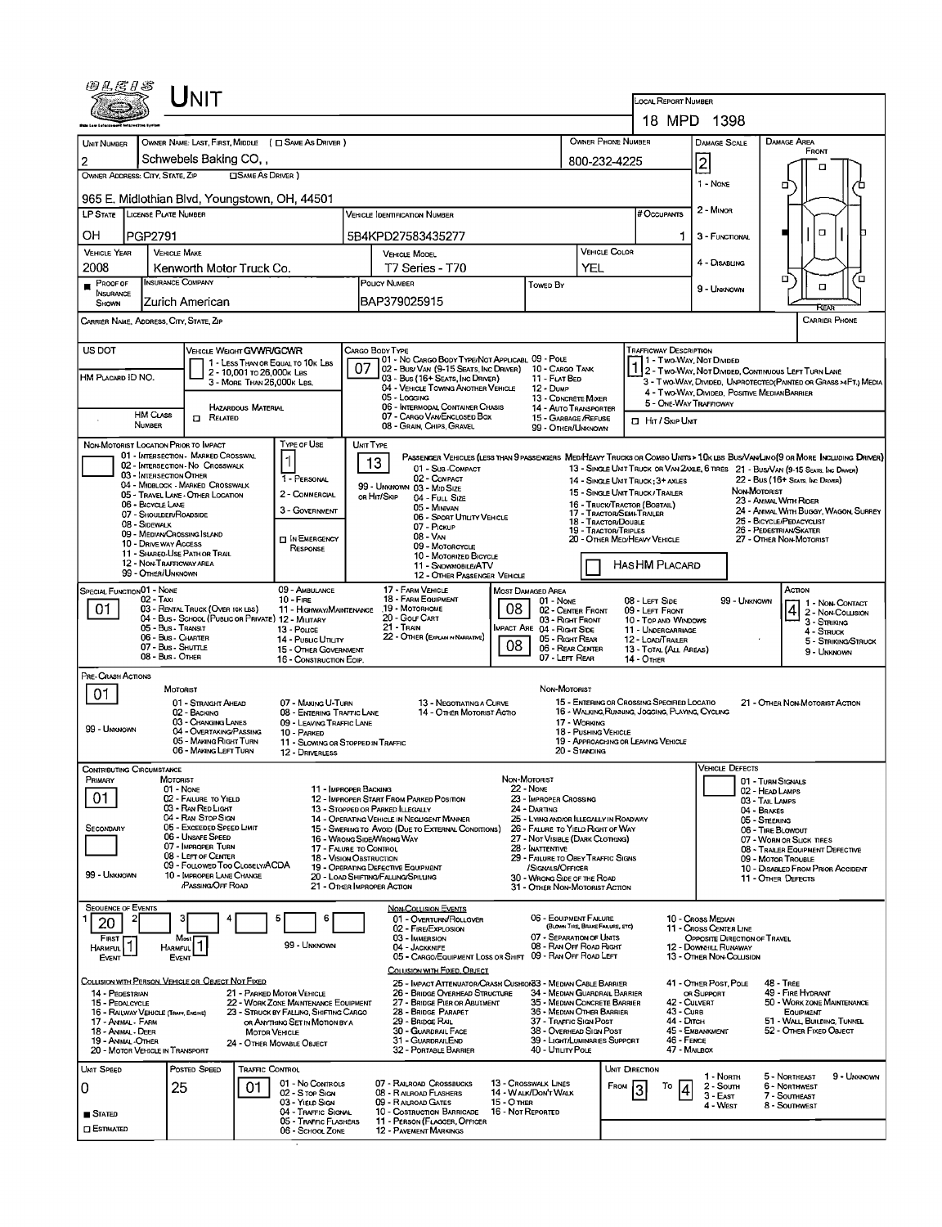| Jnit                                                                                                                                                                                                                 |                                                                                |                                                                                                                                                                                                        |                                                                                                                                                                                                   |                                                                 |                                                                                                                         |                                                |                                                                                                                                                                                                                    |  |  |  |  |
|----------------------------------------------------------------------------------------------------------------------------------------------------------------------------------------------------------------------|--------------------------------------------------------------------------------|--------------------------------------------------------------------------------------------------------------------------------------------------------------------------------------------------------|---------------------------------------------------------------------------------------------------------------------------------------------------------------------------------------------------|-----------------------------------------------------------------|-------------------------------------------------------------------------------------------------------------------------|------------------------------------------------|--------------------------------------------------------------------------------------------------------------------------------------------------------------------------------------------------------------------|--|--|--|--|
|                                                                                                                                                                                                                      |                                                                                |                                                                                                                                                                                                        |                                                                                                                                                                                                   |                                                                 | LOCAL REPORT NUMBER<br>18 MPD 1398                                                                                      |                                                |                                                                                                                                                                                                                    |  |  |  |  |
|                                                                                                                                                                                                                      |                                                                                |                                                                                                                                                                                                        |                                                                                                                                                                                                   | OWNER PHONE NUMBER                                              |                                                                                                                         |                                                | <b>DAMAGE AREA</b>                                                                                                                                                                                                 |  |  |  |  |
| OWNER NAME: LAST, FIRST, MIDDLE ( C SAME AS DRIVER )<br>UNIT NUMBER<br>Schwebels Baking CO,                                                                                                                          |                                                                                |                                                                                                                                                                                                        |                                                                                                                                                                                                   |                                                                 |                                                                                                                         | <b>DAMAGE SCALE</b><br>$\overline{\mathbf{2}}$ | FRONT                                                                                                                                                                                                              |  |  |  |  |
| $\overline{\mathbf{2}}$<br><b>CISAME AS DRIVER</b><br>OWNER ADDRESS: CITY, STATE, ZIP                                                                                                                                |                                                                                |                                                                                                                                                                                                        |                                                                                                                                                                                                   | 800-232-4225                                                    |                                                                                                                         | л                                              |                                                                                                                                                                                                                    |  |  |  |  |
| 965 E. Midlothian Blvd, Youngstown, OH, 44501                                                                                                                                                                        |                                                                                |                                                                                                                                                                                                        |                                                                                                                                                                                                   |                                                                 | $1 - \text{Now}$                                                                                                        | 0                                              |                                                                                                                                                                                                                    |  |  |  |  |
| LP STATE LICENSE PLATE NUMBER                                                                                                                                                                                        |                                                                                | VEHICLE IDENTIFICATION NUMBER                                                                                                                                                                          |                                                                                                                                                                                                   |                                                                 | # OccuPANTS                                                                                                             | 2 - MINOR                                      |                                                                                                                                                                                                                    |  |  |  |  |
| OН<br>PGP2791                                                                                                                                                                                                        |                                                                                | 5B4KPD27583435277                                                                                                                                                                                      |                                                                                                                                                                                                   |                                                                 |                                                                                                                         | 3 - FUNCTIONAL                                 | $\Box$                                                                                                                                                                                                             |  |  |  |  |
| <b>VEHICLE MAKE</b><br><b>VEHICLE YEAR</b>                                                                                                                                                                           |                                                                                | <b>VEHICLE MODEL</b>                                                                                                                                                                                   |                                                                                                                                                                                                   | <b>VEHICLE COLOR</b>                                            |                                                                                                                         | 4 - DISABLING                                  |                                                                                                                                                                                                                    |  |  |  |  |
| 2008<br>Kenworth Motor Truck Co.<br><b>INSURANCE COMPANY</b>                                                                                                                                                         |                                                                                | T7 Series - T70<br>POLICY NUMBER                                                                                                                                                                       |                                                                                                                                                                                                   | α<br>□                                                          |                                                                                                                         |                                                |                                                                                                                                                                                                                    |  |  |  |  |
| <b>PROOF OF</b><br><b>INSURANCE</b><br>Zurich American<br>SHOWN                                                                                                                                                      |                                                                                | BAP379025915                                                                                                                                                                                           | <b>Towed By</b>                                                                                                                                                                                   |                                                                 |                                                                                                                         |                                                | $\Box$                                                                                                                                                                                                             |  |  |  |  |
| CARRIER NAME, ADDRESS, CITY, STATE, ZIP                                                                                                                                                                              |                                                                                |                                                                                                                                                                                                        |                                                                                                                                                                                                   |                                                                 |                                                                                                                         |                                                | Rra<br><b>CARRIER PHONE</b>                                                                                                                                                                                        |  |  |  |  |
|                                                                                                                                                                                                                      |                                                                                |                                                                                                                                                                                                        |                                                                                                                                                                                                   |                                                                 |                                                                                                                         |                                                |                                                                                                                                                                                                                    |  |  |  |  |
| US DOT<br>VEHICLE WEIGHT GVWR/GCWR                                                                                                                                                                                   | 1 - LESS THAN OR EQUAL TO 10K LBS                                              | CARGO BODY TYPE<br>01 - No CARGO BODY TYPE/NOT APPLICABL 09 - POLE                                                                                                                                     |                                                                                                                                                                                                   | <b>TRAFFICWAY DESCRIPTION</b><br>1 - Two-Way, Not Divided       |                                                                                                                         |                                                |                                                                                                                                                                                                                    |  |  |  |  |
| 2 - 10.001 To 26.000 k Las<br>HM PLACARD ID NO.<br>3 - MORE THAN 26,000K LBS.                                                                                                                                        |                                                                                | 07<br>02 - Bus/ Van (9-15 Seats, Inc Driver) 10 - Cargo Tank<br>03 - Bus (16+ SEATS, INC DRIVER)<br>04 - VEHICLE TOWING ANOTHER VEHICLE                                                                | 11 - FLAT BED<br>12 - Dump                                                                                                                                                                        |                                                                 | 2 - Two-Way, Not Divided, Continuous Left Turn Lane<br>3 - TWO-WAY, DIVIDED, UNPROTECTED (PAINTED OR GRASS >4FT.) MEDIA |                                                |                                                                                                                                                                                                                    |  |  |  |  |
| <b>HAZARDOUS MATERIAL</b>                                                                                                                                                                                            |                                                                                | 05 - Logging<br>06 - INTERMODAL CONTAINER CHASIS                                                                                                                                                       | 13 - CDNCRETE MIXER<br><b>14 - AUTO TRANSPORTER</b>                                                                                                                                               |                                                                 | 5 - ONE-WAY TRAFFICWAY                                                                                                  | 4 - Two-Way, Divided. Positive Median Barrier  |                                                                                                                                                                                                                    |  |  |  |  |
| <b>HM CLASS</b><br>$\Box$ Related<br><b>NUMBER</b>                                                                                                                                                                   |                                                                                | 07 - CARGO VAN ENCLOSED BOX<br>08 - GRAIN, CHIPS, GRAVEL                                                                                                                                               | 15 - GARBAGE /REFUSE<br>99 - OTHER/UNKNOWN                                                                                                                                                        |                                                                 | <b>I</b> HIT / SKIP UNT                                                                                                 |                                                |                                                                                                                                                                                                                    |  |  |  |  |
| NON-MOTORIST LOCATION PRIOR TO IMPACT                                                                                                                                                                                | TYPE OF USE                                                                    | UNIT TYPE                                                                                                                                                                                              |                                                                                                                                                                                                   |                                                                 |                                                                                                                         |                                                |                                                                                                                                                                                                                    |  |  |  |  |
| 01 - INTERSECTION - MARKED CROSSWAL<br>02 - INTERSECTION - NO CROSSWALK                                                                                                                                              |                                                                                | 13<br>01 - Sub COMPACT                                                                                                                                                                                 |                                                                                                                                                                                                   |                                                                 |                                                                                                                         |                                                | PASSENGER VEHICLES (LESS THAN 9 PASSENGERS MEDIHEANY TRUCKS OR COMBO UNITS > 10K LBS BUS/VANLIMO(9 OR MORE INCLUDING DRIVER)<br>13 - SINGLE UNIT TRUCK OR VAN 2AXLE, 6 TIRES 21 - BUS/VAN (9-15 SEATS, INC DRIVER) |  |  |  |  |
| 03 - INTERSECTION OTHER<br>04 - MIDBLOCK - MARKED CROSSWALK                                                                                                                                                          | 1 - PERSONAL                                                                   | 02 - COMPACT<br>99 - UNKNOWN 03 - MID SIZE                                                                                                                                                             |                                                                                                                                                                                                   |                                                                 | 14 - SINGLE UNIT TRUCK; 3+ AXLES                                                                                        |                                                | 22 - Bus (16+ Seats, Inc Driver)                                                                                                                                                                                   |  |  |  |  |
| 05 - TRAVEL LANE - OTHER LOCATION<br>06 - BICYCLE LANE                                                                                                                                                               | 2 - COMMERCIAL                                                                 | OR HIT/SKIP<br>04 - Full Size<br>05 - MINIVAN                                                                                                                                                          |                                                                                                                                                                                                   | 15 - SINGLE UNIT TRUCK / TRAILER<br>16 - Truck/Tractor (Bostal) |                                                                                                                         | NON-MOTORIST                                   | 23 - AMMAL WITH RIDER                                                                                                                                                                                              |  |  |  |  |
| 07 - Shoulder/Roadside<br>08 - Sidewalk                                                                                                                                                                              | 3 - GOVERNMENT                                                                 | 06 - SPORT UTILITY VEHICLE<br>07 - Pickup                                                                                                                                                              |                                                                                                                                                                                                   | 17 - TRACTOR/SEMI-TRAILER<br>18 - TRACTOR/DOUBLE                |                                                                                                                         |                                                | 24 - ANIMAL WITH BUGGY, WAGON, SURREY<br>25 - BICYCLE/PEDACYCLIST                                                                                                                                                  |  |  |  |  |
| 09 - MEDIAN CROSSING SLAND<br>10 - DRIVE WAY ACCESS                                                                                                                                                                  | <b>DIN EMERGENCY</b>                                                           | 08 - VAN<br>09 - MOTORCYCLE                                                                                                                                                                            |                                                                                                                                                                                                   | <b>19 - TRACTOR/TRIPLES</b><br>20 - OTHER MED/HEAVY VEHICLE     |                                                                                                                         |                                                | 26 - Pedestrian/Skater<br>27 - OTHER NON-MOTORIST                                                                                                                                                                  |  |  |  |  |
| 11 - SHARED-USE PATH OR TRAIL<br>12 - NON-TRAFFICWAY AREA                                                                                                                                                            | RESPONSE                                                                       | 10 - MOTORIZED BICYCLE<br>11 - SNOWMOBILE/ATV                                                                                                                                                          | HASHM PLACARD                                                                                                                                                                                     |                                                                 |                                                                                                                         |                                                |                                                                                                                                                                                                                    |  |  |  |  |
| 99 - OTHER/UNKNOWN                                                                                                                                                                                                   |                                                                                | 12 - OTHER PASSENGER VEHICLE                                                                                                                                                                           |                                                                                                                                                                                                   |                                                                 |                                                                                                                         |                                                |                                                                                                                                                                                                                    |  |  |  |  |
| SPECIAL FUNCTION 01 - NONE<br>02 - TAXI<br>03 - RENTAL TRUCK (OVER 10K LBS)                                                                                                                                          | 09 - AMBULANCE<br>$10 -$ Fire                                                  | 17 - FARM VEHICLE<br>Астюм<br>MOST DAMAGED AREA<br>18 - FARM EQUIPMENT<br>08 - LEFT SIDE<br>99 - UNKNOWN<br>01 Nove<br>1 - Non-Contact<br>08<br>19 - MOTORHOME<br>09 - LEFT FRONT<br>02 - CENTER FRONT |                                                                                                                                                                                                   |                                                                 |                                                                                                                         |                                                |                                                                                                                                                                                                                    |  |  |  |  |
| 01<br>04 - Bus - SCHOOL (PUBLIC OR PRIVATE) 12 - MILITARY<br>05 - Bus - Transit                                                                                                                                      | 11 - HIGHWAY/MAINTENANCE                                                       | 20 - GOLF CART                                                                                                                                                                                         | $\cdot$ 4 $\cdot$<br>2 - Non-Collision<br>03 - Right Front<br>10 - Top AND WINDOWS<br>3 - STRIKING<br>21 - TRAIN<br>IMPACT ARE 04 - RIGHT SIDE<br>11 - UNDERCARRIAGE<br>4 - Struck                |                                                                 |                                                                                                                         |                                                |                                                                                                                                                                                                                    |  |  |  |  |
| 13 - Pouce<br>06 - Bus - CHARTER<br>22 - OTHER (EXPLAN IN NARRATIVE)<br>05 - Right Rear<br>14 - Pusuc Unury<br>12 - LOAD/TRAILER<br>08<br>07 Bus SHUTTLE<br>06 - REAR CENTER                                         |                                                                                |                                                                                                                                                                                                        |                                                                                                                                                                                                   |                                                                 |                                                                                                                         |                                                |                                                                                                                                                                                                                    |  |  |  |  |
| 08 Bus Other                                                                                                                                                                                                         | 15 - OTHER GOVERNMENT<br>16 - CONSTRUCTION EQIP.                               |                                                                                                                                                                                                        | 07 - LEFT REAR                                                                                                                                                                                    |                                                                 | 13 - TOTAL (ALL AREAS)<br>14 - Отнев                                                                                    |                                                | 9 - UNKNOWN                                                                                                                                                                                                        |  |  |  |  |
| PRE- CRASH ACTIONS<br>MOTORIST                                                                                                                                                                                       |                                                                                |                                                                                                                                                                                                        | NON-MOTORIST                                                                                                                                                                                      |                                                                 |                                                                                                                         |                                                |                                                                                                                                                                                                                    |  |  |  |  |
| -01<br>01 - STRAIGHT AHEAD                                                                                                                                                                                           | 07 - MAKING U-TURN                                                             | 13 - NEGOTIATING A CURVE<br>14 - OTHER MOTORIST ACTIO                                                                                                                                                  |                                                                                                                                                                                                   |                                                                 | 15 - ENTERING OR CROSSING SPECIFIED LOCATIO<br>16 - WALKING, RUNNING, JOGGING, PLAYING, CYCLING                         |                                                | 21 - OTHER NON-MOTORIST ACTION                                                                                                                                                                                     |  |  |  |  |
| 02 - BACKING<br>03 - CHANGING LANES<br>99 - Unknown<br>04 - Overtaking/Passing                                                                                                                                       | 08 - ENTERING TRAFFIC LANE<br>09 - LEAVING TRAFFIC LANE                        |                                                                                                                                                                                                        | 17 - WORKING                                                                                                                                                                                      | 18 - PUSHING VEHICLE                                            |                                                                                                                         |                                                |                                                                                                                                                                                                                    |  |  |  |  |
| 05 - MAKING RIGHT TURN<br>06 - MAKING LEFT TURN                                                                                                                                                                      | 10 - PARKED<br>11 - Slowing or Stopped in Traffic<br>12 - DRIVERLESS           |                                                                                                                                                                                                        | 20 - STANDING                                                                                                                                                                                     |                                                                 | 19 - APPROACHING OR LEAVING VEHICLE                                                                                     |                                                |                                                                                                                                                                                                                    |  |  |  |  |
| Contributing Circumstance                                                                                                                                                                                            |                                                                                |                                                                                                                                                                                                        |                                                                                                                                                                                                   |                                                                 |                                                                                                                         | Vericle Defects                                |                                                                                                                                                                                                                    |  |  |  |  |
| PRIMARY<br>MOTORIST<br>01 - None                                                                                                                                                                                     |                                                                                | 11 - IMPROPER BACKING                                                                                                                                                                                  | NON-MOTORIST<br><b>22 - None</b>                                                                                                                                                                  |                                                                 |                                                                                                                         |                                                | 01 - TURN SIGNALS<br>02 - HEAD LAMPS                                                                                                                                                                               |  |  |  |  |
| 01<br>02 - FAILURE TO YIELD<br>03 - RAN RED LIGHT                                                                                                                                                                    |                                                                                | 12 - IMPROPER START FROM PARKED POSITION<br>13 - STOPPED OR PARKED LLEGALLY                                                                                                                            | 23 - IMPROPER CROSSING<br>03 - TAIL LAMPS<br>24 - DARTING<br>04 - BRAKES                                                                                                                          |                                                                 |                                                                                                                         |                                                |                                                                                                                                                                                                                    |  |  |  |  |
| 04 - RAN STOP SIGN<br>05 - Exceeded Speed Limit<br>SECONDARY                                                                                                                                                         |                                                                                | 14 - OPERATING VEHICLE IN NEGLIGENT MANNER<br>15 - SWERING TO AVOID (DUE TO EXTERNAL CONDITIONS)                                                                                                       | 25 - LYING AND/OR LLEGALLY IN ROADWAY<br>05 - STEERING<br>26 - FALURE TO YIELD RIGHT OF WAY<br>06 - TIRE BLOWOUT                                                                                  |                                                                 |                                                                                                                         |                                                |                                                                                                                                                                                                                    |  |  |  |  |
| 06 - Unsafe Speed<br>07 - IMPROPER TURN                                                                                                                                                                              |                                                                                | 16 - WRONG SIDE/WRONG WAY<br>17 - FALURE TO CONTROL                                                                                                                                                    | 27 - NOT VISIBLE (DARK CLOTHING)<br>07 - WORN OR SLICK TIRES<br>28 - INATTENTIVE<br>08 - TRAILER EQUIPMENT DEFECTIVE                                                                              |                                                                 |                                                                                                                         |                                                |                                                                                                                                                                                                                    |  |  |  |  |
| 08 - LEFT OF CENTER<br>09 - FOLLOWED TOO CLOSELY/ACDA                                                                                                                                                                |                                                                                | <b>18 - VISION OBSTRUCTION</b><br>19 - OPERATING DEFECTIVE EQUIPMENT                                                                                                                                   | 29 - FAILURE TO OBEY TRAFFIC SIGNS<br>09 - Motor TrousLE<br>/Signals/Officer<br>10 - DISABLED FROM PRIOR ACCIDENT                                                                                 |                                                                 |                                                                                                                         |                                                |                                                                                                                                                                                                                    |  |  |  |  |
| 99 - Unknown<br>10 - IMPROPER LANE CHANGE<br>PASSING OFF ROAD                                                                                                                                                        |                                                                                | 20 - LOAD SHIFTING/FALLING/SPILLING<br>21 - OTHER IMPROPER ACTION                                                                                                                                      | 30 - WRONG SIDE OF THE ROAD<br>31 - OTHER NON-MOTORIST ACTION                                                                                                                                     |                                                                 |                                                                                                                         |                                                | 11 - OTHER DEFECTS                                                                                                                                                                                                 |  |  |  |  |
| <b>SEQUENCE OF EVENTS</b>                                                                                                                                                                                            |                                                                                | <b>NON-COLLISION EVENTS</b>                                                                                                                                                                            |                                                                                                                                                                                                   |                                                                 |                                                                                                                         |                                                |                                                                                                                                                                                                                    |  |  |  |  |
| 20                                                                                                                                                                                                                   | 5<br>6                                                                         | 01 - OVERTURN/ROLLGVER<br>02 - FIRE/EXPLOSION                                                                                                                                                          | 06 - EQUIPMENT FAILURE                                                                                                                                                                            | (BLOWN TIRE, BRAKE FAILURE, ETC)                                |                                                                                                                         | 10 - Cross Median<br>11 - Cross CENTER LINE    |                                                                                                                                                                                                                    |  |  |  |  |
| 07 - SEPARATION OF UNITS<br>FIRST  <br>03 - IMMERSION<br>OPPOSITE DIRECTION OF TRAVEL<br>Most<br>1<br>99 - UNKNOWN<br>08 - RAN OFF ROAD RIGHT<br>04 - JACKKNIFE<br>12 - DOWNHILL RUNAWAY<br>Harmful<br>HARMFUL       |                                                                                |                                                                                                                                                                                                        |                                                                                                                                                                                                   |                                                                 |                                                                                                                         |                                                |                                                                                                                                                                                                                    |  |  |  |  |
| 09 - RAN OFF ROAD LEFT<br>05 - CARGO/EQUIPMENT LOSS OR SHIFT<br>13 - OTHER NON-COLLISION<br><b>EVENT</b><br>EVENT<br>COLLISION WITH FIXED, OBJECT                                                                    |                                                                                |                                                                                                                                                                                                        |                                                                                                                                                                                                   |                                                                 |                                                                                                                         |                                                |                                                                                                                                                                                                                    |  |  |  |  |
| COLLISION WITH PERSON, VEHICLE OR OBJECT NOT FIXED<br>14 - PEDESTRIAN                                                                                                                                                | 21 - PARKED MOTOR VEHICLE                                                      | 25 - IMPACT ATTENUATOR/CRASH CUSHION33 - MEDIAN CABLE BARRIER                                                                                                                                          |                                                                                                                                                                                                   |                                                                 |                                                                                                                         | 41 - OTHER POST, POLE                          | <b>48 - TREE</b>                                                                                                                                                                                                   |  |  |  |  |
| 15 - PEDALCYCLE<br>16 - RAILWAY VEHICLE (TRAIN, ENGINE)                                                                                                                                                              | 22 - WORK ZONE MAINTENANCE EQUIPMENT<br>23 - STRUCK BY FALLING, SHIFTING CARGO | 27 - Bridge Pier or Abutment<br>28 - Bridge Parapet                                                                                                                                                    | 49 - Fire Hydrant<br>26 - Bridge Overhead Structure<br>34 - MEDIAN GUARDRAIL BARRIER<br>OR SUPPORT<br>42 - Culvert<br>50 - WORK ZONE MAINTENANCE<br>35 - MEDIAN CONCRETE BARRIER                  |                                                                 |                                                                                                                         |                                                |                                                                                                                                                                                                                    |  |  |  |  |
| 17 - ANIMAL - FARM<br>18 - Animal - Deer                                                                                                                                                                             | OR ANYTHING SET IN MOTION BY A<br><b>MOTOR VEHICLE</b>                         | 29 - Bridge Rail<br>30 - GUARDRAIL FACE                                                                                                                                                                | 36 - MEDIAN OTHER BARRIER<br>43 - Curs<br>EQUIPMENT<br>44 - Олсн<br>51 - WALL BUILDING, TUNNEL<br>37 - TRAFFIC SIGN POST<br>38 - OVERHEAD SIGN POST<br>45 - EMBANKMENT<br>52 - OTHER FIXED OBJECT |                                                                 |                                                                                                                         |                                                |                                                                                                                                                                                                                    |  |  |  |  |
| 31 - GUARDRAILEND<br>39 - LIGHT/LUMINARIES SUPPORT<br>46 - FENCE<br>19 - Animal - Other<br>24 - OTHER MOVABLE OBJECT<br>40 - UTILITY POLE<br>47 - MALBOX<br>20 - MOTOR VEHICLE IN TRANSPORT<br>32 - PORTABLE BARRIER |                                                                                |                                                                                                                                                                                                        |                                                                                                                                                                                                   |                                                                 |                                                                                                                         |                                                |                                                                                                                                                                                                                    |  |  |  |  |
| POSTED SPEED<br>Unit Speed                                                                                                                                                                                           | <b>TRAFFIC CONTROL</b>                                                         |                                                                                                                                                                                                        |                                                                                                                                                                                                   | UNIT DIRECTION                                                  |                                                                                                                         |                                                |                                                                                                                                                                                                                    |  |  |  |  |
| 25<br>01<br>0                                                                                                                                                                                                        | 01 - No CONTROLS<br>02 - S TOP SIGN                                            | 07 - RAILROAD CROSSBUCKS<br>08 - RALROAD FLASHERS                                                                                                                                                      | 13 - Crosswalk Lines<br>14 - WALK/DON'T WALK                                                                                                                                                      | FROM                                                            | То                                                                                                                      | 1 - North<br>2 - South                         | 5 - Northeast<br>9 - Unknown<br>6 - Northwest                                                                                                                                                                      |  |  |  |  |
| ∎ Stated                                                                                                                                                                                                             | 03 - YIELD SIGN<br>04 - TRAFFIC SIGNAL                                         | 09 - RAILROAD GATES<br>15 - O THER<br>10 - COSTRUCTION BARRICADE<br>16 - Not Reported                                                                                                                  |                                                                                                                                                                                                   |                                                                 |                                                                                                                         | 3 - East<br>4 - WEST                           | 7 - SOUTHEAST<br>8 - Southwest                                                                                                                                                                                     |  |  |  |  |
| <b>CI ESTIMATED</b>                                                                                                                                                                                                  | 05 - TRAFFIC FLASHERS<br>06 - SCHOOL ZONE                                      | 11 - PERSON (FLAGGER, OFFICER<br><b>12 - PAVEMENT MARKINGS</b>                                                                                                                                         |                                                                                                                                                                                                   |                                                                 |                                                                                                                         |                                                |                                                                                                                                                                                                                    |  |  |  |  |
|                                                                                                                                                                                                                      |                                                                                |                                                                                                                                                                                                        |                                                                                                                                                                                                   |                                                                 |                                                                                                                         |                                                |                                                                                                                                                                                                                    |  |  |  |  |